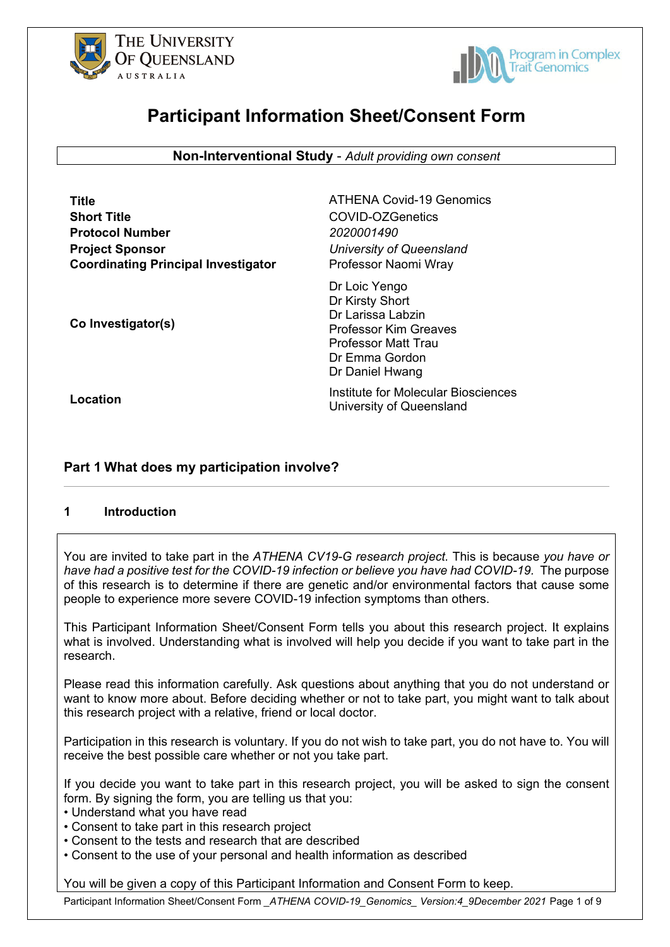



# **Participant Information Sheet/Consent Form**

**Non-Interventional Study** - *Adult providing own consent*

| Title                                      |
|--------------------------------------------|
| <b>Short Title</b>                         |
| <b>Protocol Number</b>                     |
| <b>Project Sponsor</b>                     |
| <b>Coordinating Principal Investigator</b> |

**ATHENA Covid-19 Genomics Short Title** COVID-OZGenetics **Protocol Number** *2020001490 <u>University of Queensland</u>* **Professor Naomi Wray** 

**Co Investigator(s)**

Dr Loic Yengo Dr Kirsty Short Dr Larissa Labzin Professor Kim Greaves Professor Matt Trau Dr Emma Gordon Dr Daniel Hwang

**Location Institute for Molecular Biosciences** University of Queensland

# **Part 1 What does my participation involve?**

# **1 Introduction**

You are invited to take part in the *ATHENA CV19-G research project.* This is because *you have or have had a positive test for the COVID-19 infection or believe you have had COVID-19.* The purpose of this research is to determine if there are genetic and/or environmental factors that cause some people to experience more severe COVID-19 infection symptoms than others.

This Participant Information Sheet/Consent Form tells you about this research project. It explains what is involved. Understanding what is involved will help you decide if you want to take part in the research.

Please read this information carefully. Ask questions about anything that you do not understand or want to know more about. Before deciding whether or not to take part, you might want to talk about this research project with a relative, friend or local doctor.

Participation in this research is voluntary. If you do not wish to take part, you do not have to. You will receive the best possible care whether or not you take part.

If you decide you want to take part in this research project, you will be asked to sign the consent form. By signing the form, you are telling us that you:

• Understand what you have read

- Consent to take part in this research project
- Consent to the tests and research that are described
- Consent to the use of your personal and health information as described

You will be given a copy of this Participant Information and Consent Form to keep.

Participant Information Sheet/Consent Form *\_ATHENA COVID-19\_Genomics\_ Version:4\_9December 2021* Page 1 of 9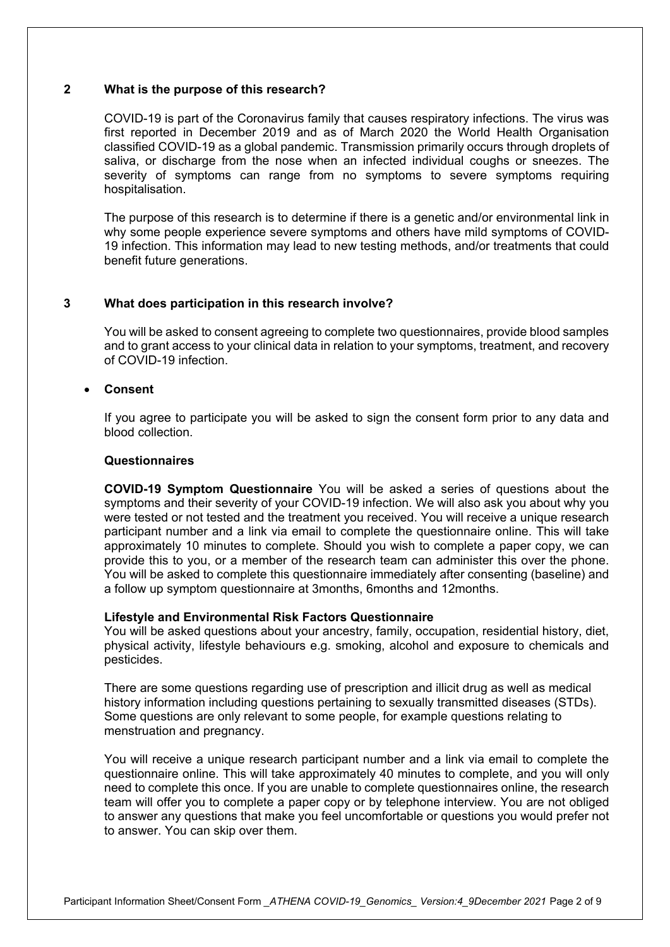# **2 What is the purpose of this research?**

COVID-19 is part of the Coronavirus family that causes respiratory infections. The virus was first reported in December 2019 and as of March 2020 the World Health Organisation classified COVID-19 as a global pandemic. Transmission primarily occurs through droplets of saliva, or discharge from the nose when an infected individual coughs or sneezes. The severity of symptoms can range from no symptoms to severe symptoms requiring hospitalisation.

The purpose of this research is to determine if there is a genetic and/or environmental link in why some people experience severe symptoms and others have mild symptoms of COVID-19 infection. This information may lead to new testing methods, and/or treatments that could benefit future generations.

# **3 What does participation in this research involve?**

You will be asked to consent agreeing to complete two questionnaires, provide blood samples and to grant access to your clinical data in relation to your symptoms, treatment, and recovery of COVID-19 infection.

#### • **Consent**

If you agree to participate you will be asked to sign the consent form prior to any data and blood collection.

#### **Questionnaires**

**COVID-19 Symptom Questionnaire** You will be asked a series of questions about the symptoms and their severity of your COVID-19 infection. We will also ask you about why you were tested or not tested and the treatment you received. You will receive a unique research participant number and a link via email to complete the questionnaire online. This will take approximately 10 minutes to complete. Should you wish to complete a paper copy, we can provide this to you, or a member of the research team can administer this over the phone. You will be asked to complete this questionnaire immediately after consenting (baseline) and a follow up symptom questionnaire at 3months, 6months and 12months.

#### **Lifestyle and Environmental Risk Factors Questionnaire**

You will be asked questions about your ancestry, family, occupation, residential history, diet, physical activity, lifestyle behaviours e.g. smoking, alcohol and exposure to chemicals and pesticides.

There are some questions regarding use of prescription and illicit drug as well as medical history information including questions pertaining to sexually transmitted diseases (STDs). Some questions are only relevant to some people, for example questions relating to menstruation and pregnancy.

You will receive a unique research participant number and a link via email to complete the questionnaire online. This will take approximately 40 minutes to complete, and you will only need to complete this once. If you are unable to complete questionnaires online, the research team will offer you to complete a paper copy or by telephone interview. You are not obliged to answer any questions that make you feel uncomfortable or questions you would prefer not to answer. You can skip over them.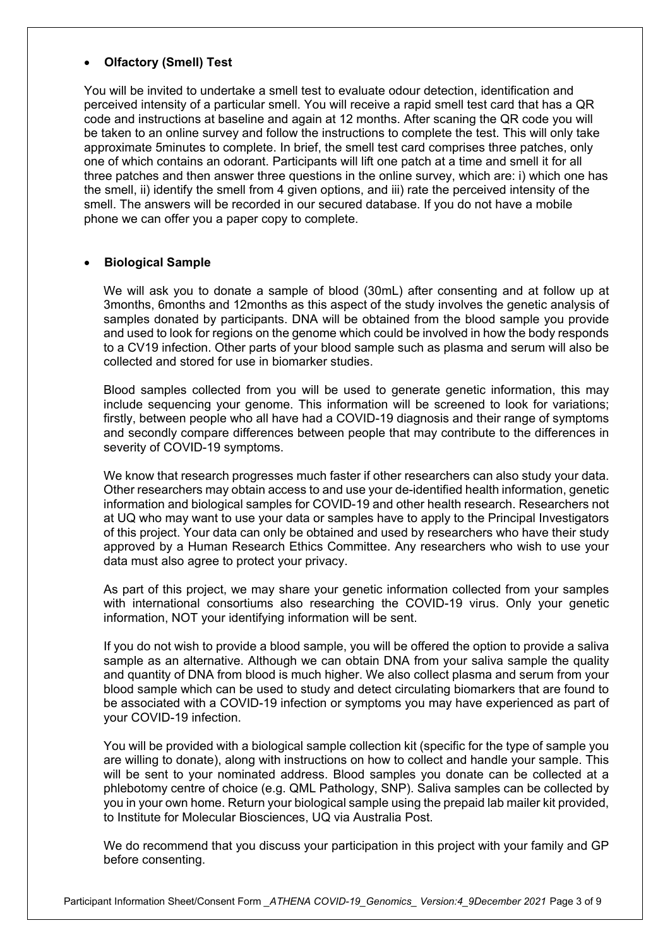# • **Olfactory (Smell) Test**

You will be invited to undertake a smell test to evaluate odour detection, identification and perceived intensity of a particular smell. You will receive a rapid smell test card that has a QR code and instructions at baseline and again at 12 months. After scaning the QR code you will be taken to an online survey and follow the instructions to complete the test. This will only take approximate 5minutes to complete. In brief, the smell test card comprises three patches, only one of which contains an odorant. Participants will lift one patch at a time and smell it for all three patches and then answer three questions in the online survey, which are: i) which one has the smell, ii) identify the smell from 4 given options, and iii) rate the perceived intensity of the smell. The answers will be recorded in our secured database. If you do not have a mobile phone we can offer you a paper copy to complete.

# • **Biological Sample**

We will ask you to donate a sample of blood (30mL) after consenting and at follow up at 3months, 6months and 12months as this aspect of the study involves the genetic analysis of samples donated by participants. DNA will be obtained from the blood sample you provide and used to look for regions on the genome which could be involved in how the body responds to a CV19 infection. Other parts of your blood sample such as plasma and serum will also be collected and stored for use in biomarker studies.

Blood samples collected from you will be used to generate genetic information, this may include sequencing your genome. This information will be screened to look for variations; firstly, between people who all have had a COVID-19 diagnosis and their range of symptoms and secondly compare differences between people that may contribute to the differences in severity of COVID-19 symptoms.

We know that research progresses much faster if other researchers can also study your data. Other researchers may obtain access to and use your de-identified health information, genetic information and biological samples for COVID-19 and other health research. Researchers not at UQ who may want to use your data or samples have to apply to the Principal Investigators of this project. Your data can only be obtained and used by researchers who have their study approved by a Human Research Ethics Committee. Any researchers who wish to use your data must also agree to protect your privacy.

As part of this project, we may share your genetic information collected from your samples with international consortiums also researching the COVID-19 virus. Only your genetic information, NOT your identifying information will be sent.

If you do not wish to provide a blood sample, you will be offered the option to provide a saliva sample as an alternative. Although we can obtain DNA from your saliva sample the quality and quantity of DNA from blood is much higher. We also collect plasma and serum from your blood sample which can be used to study and detect circulating biomarkers that are found to be associated with a COVID-19 infection or symptoms you may have experienced as part of your COVID-19 infection.

You will be provided with a biological sample collection kit (specific for the type of sample you are willing to donate), along with instructions on how to collect and handle your sample. This will be sent to your nominated address. Blood samples you donate can be collected at a phlebotomy centre of choice (e.g. QML Pathology, SNP). Saliva samples can be collected by you in your own home. Return your biological sample using the prepaid lab mailer kit provided, to Institute for Molecular Biosciences, UQ via Australia Post.

We do recommend that you discuss your participation in this project with your family and GP before consenting.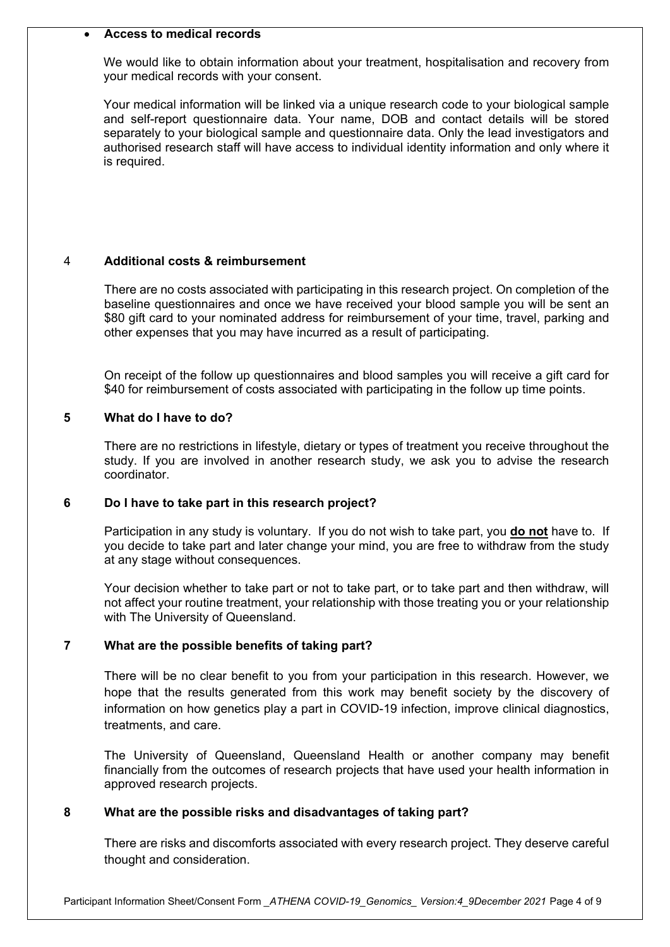# • **Access to medical records**

We would like to obtain information about your treatment, hospitalisation and recovery from your medical records with your consent.

Your medical information will be linked via a unique research code to your biological sample and self-report questionnaire data. Your name, DOB and contact details will be stored separately to your biological sample and questionnaire data. Only the lead investigators and authorised research staff will have access to individual identity information and only where it is required.

# 4 **Additional costs & reimbursement**

There are no costs associated with participating in this research project. On completion of the baseline questionnaires and once we have received your blood sample you will be sent an \$80 gift card to your nominated address for reimbursement of your time, travel, parking and other expenses that you may have incurred as a result of participating.

On receipt of the follow up questionnaires and blood samples you will receive a gift card for \$40 for reimbursement of costs associated with participating in the follow up time points.

#### **5 What do I have to do?**

There are no restrictions in lifestyle, dietary or types of treatment you receive throughout the study. If you are involved in another research study, we ask you to advise the research coordinator.

# **6 Do I have to take part in this research project?**

Participation in any study is voluntary. If you do not wish to take part, you **do not** have to. If you decide to take part and later change your mind, you are free to withdraw from the study at any stage without consequences.

Your decision whether to take part or not to take part, or to take part and then withdraw, will not affect your routine treatment, your relationship with those treating you or your relationship with The University of Queensland.

# **7 What are the possible benefits of taking part?**

There will be no clear benefit to you from your participation in this research. However, we hope that the results generated from this work may benefit society by the discovery of information on how genetics play a part in COVID-19 infection, improve clinical diagnostics, treatments, and care.

The University of Queensland, Queensland Health or another company may benefit financially from the outcomes of research projects that have used your health information in approved research projects.

# **8 What are the possible risks and disadvantages of taking part?**

There are risks and discomforts associated with every research project. They deserve careful thought and consideration.

Participant Information Sheet/Consent Form *\_ATHENA COVID-19\_Genomics\_ Version:4\_9December 2021* Page 4 of 9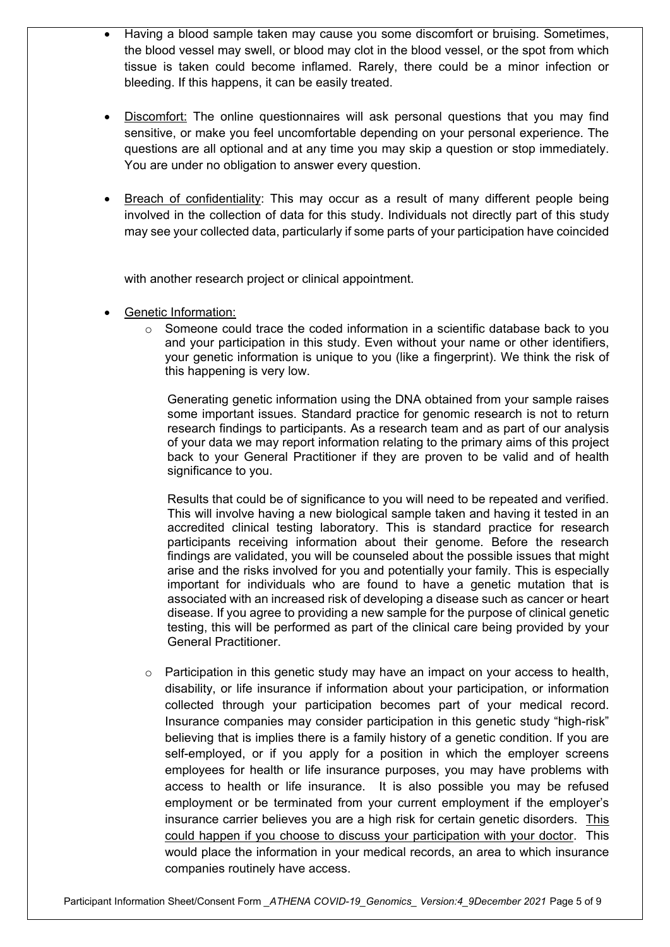- Having a blood sample taken may cause you some discomfort or bruising. Sometimes, the blood vessel may swell, or blood may clot in the blood vessel, or the spot from which tissue is taken could become inflamed. Rarely, there could be a minor infection or bleeding. If this happens, it can be easily treated.
- Discomfort: The online questionnaires will ask personal questions that you may find sensitive, or make you feel uncomfortable depending on your personal experience. The questions are all optional and at any time you may skip a question or stop immediately. You are under no obligation to answer every question.
- Breach of confidentiality: This may occur as a result of many different people being involved in the collection of data for this study. Individuals not directly part of this study may see your collected data, particularly if some parts of your participation have coincided

with another research project or clinical appointment.

- Genetic Information:
	- $\circ$  Someone could trace the coded information in a scientific database back to you and your participation in this study. Even without your name or other identifiers, your genetic information is unique to you (like a fingerprint). We think the risk of this happening is very low.

Generating genetic information using the DNA obtained from your sample raises some important issues. Standard practice for genomic research is not to return research findings to participants. As a research team and as part of our analysis of your data we may report information relating to the primary aims of this project back to your General Practitioner if they are proven to be valid and of health significance to you.

Results that could be of significance to you will need to be repeated and verified. This will involve having a new biological sample taken and having it tested in an accredited clinical testing laboratory. This is standard practice for research participants receiving information about their genome. Before the research findings are validated, you will be counseled about the possible issues that might arise and the risks involved for you and potentially your family. This is especially important for individuals who are found to have a genetic mutation that is associated with an increased risk of developing a disease such as cancer or heart disease. If you agree to providing a new sample for the purpose of clinical genetic testing, this will be performed as part of the clinical care being provided by your General Practitioner.

 $\circ$  Participation in this genetic study may have an impact on your access to health, disability, or life insurance if information about your participation, or information collected through your participation becomes part of your medical record. Insurance companies may consider participation in this genetic study "high-risk" believing that is implies there is a family history of a genetic condition. If you are self-employed, or if you apply for a position in which the employer screens employees for health or life insurance purposes, you may have problems with access to health or life insurance. It is also possible you may be refused employment or be terminated from your current employment if the employer's insurance carrier believes you are a high risk for certain genetic disorders.This could happen if you choose to discuss your participation with your doctor. This would place the information in your medical records, an area to which insurance companies routinely have access.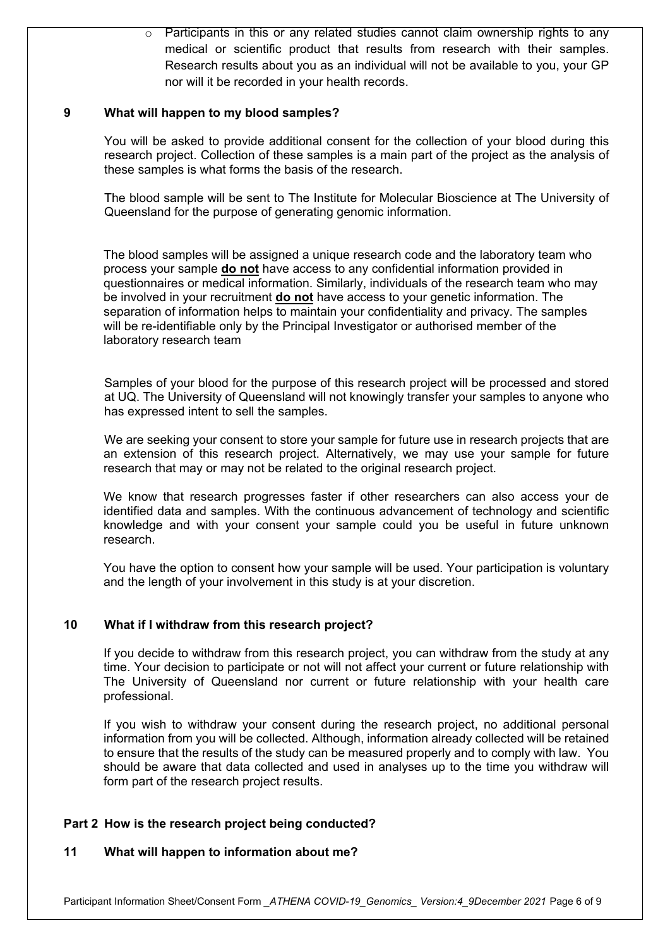$\circ$  Participants in this or any related studies cannot claim ownership rights to any medical or scientific product that results from research with their samples. Research results about you as an individual will not be available to you, your GP nor will it be recorded in your health records.

# **9 What will happen to my blood samples?**

You will be asked to provide additional consent for the collection of your blood during this research project. Collection of these samples is a main part of the project as the analysis of these samples is what forms the basis of the research.

The blood sample will be sent to The Institute for Molecular Bioscience at The University of Queensland for the purpose of generating genomic information.

The blood samples will be assigned a unique research code and the laboratory team who process your sample **do not** have access to any confidential information provided in questionnaires or medical information. Similarly, individuals of the research team who may be involved in your recruitment **do not** have access to your genetic information. The separation of information helps to maintain your confidentiality and privacy. The samples will be re-identifiable only by the Principal Investigator or authorised member of the laboratory research team

Samples of your blood for the purpose of this research project will be processed and stored at UQ. The University of Queensland will not knowingly transfer your samples to anyone who has expressed intent to sell the samples.

We are seeking your consent to store your sample for future use in research projects that are an extension of this research project. Alternatively, we may use your sample for future research that may or may not be related to the original research project.

We know that research progresses faster if other researchers can also access your de identified data and samples. With the continuous advancement of technology and scientific knowledge and with your consent your sample could you be useful in future unknown research.

You have the option to consent how your sample will be used. Your participation is voluntary and the length of your involvement in this study is at your discretion.

# **10 What if I withdraw from this research project?**

If you decide to withdraw from this research project, you can withdraw from the study at any time. Your decision to participate or not will not affect your current or future relationship with The University of Queensland nor current or future relationship with your health care professional.

If you wish to withdraw your consent during the research project, no additional personal information from you will be collected. Although, information already collected will be retained to ensure that the results of the study can be measured properly and to comply with law. You should be aware that data collected and used in analyses up to the time you withdraw will form part of the research project results.

# **Part 2 How is the research project being conducted?**

# **11 What will happen to information about me?**

Participant Information Sheet/Consent Form *\_ATHENA COVID-19\_Genomics\_ Version:4\_9December 2021* Page 6 of 9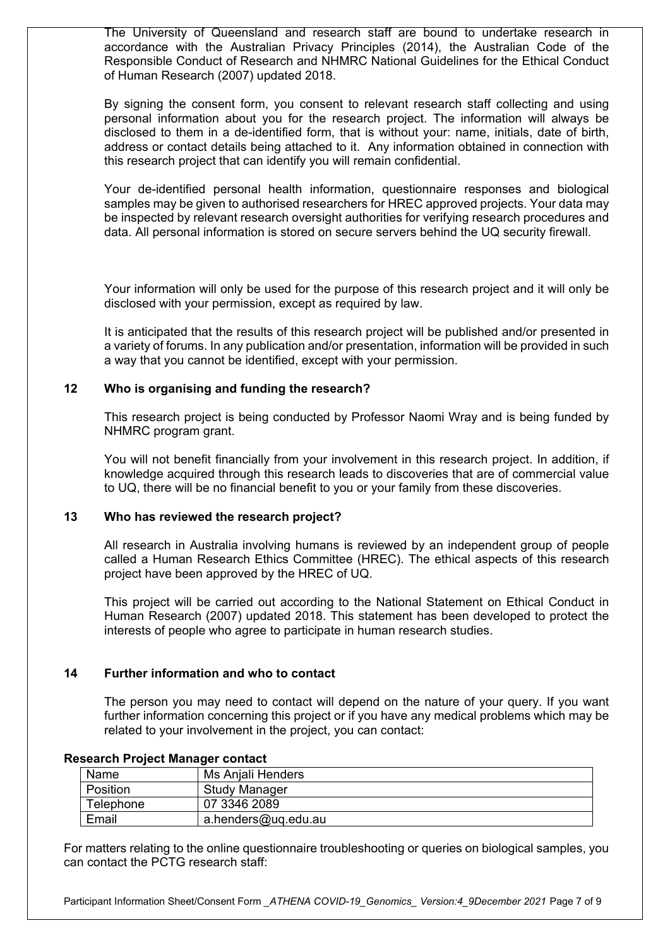The University of Queensland and research staff are bound to undertake research in accordance with the Australian Privacy Principles (2014), the Australian Code of the Responsible Conduct of Research and NHMRC National Guidelines for the Ethical Conduct of Human Research (2007) updated 2018.

By signing the consent form, you consent to relevant research staff collecting and using personal information about you for the research project. The information will always be disclosed to them in a de-identified form, that is without your: name, initials, date of birth, address or contact details being attached to it. Any information obtained in connection with this research project that can identify you will remain confidential.

Your de-identified personal health information, questionnaire responses and biological samples may be given to authorised researchers for HREC approved projects. Your data may be inspected by relevant research oversight authorities for verifying research procedures and data. All personal information is stored on secure servers behind the UQ security firewall.

Your information will only be used for the purpose of this research project and it will only be disclosed with your permission, except as required by law.

It is anticipated that the results of this research project will be published and/or presented in a variety of forums. In any publication and/or presentation, information will be provided in such a way that you cannot be identified, except with your permission.

# **12 Who is organising and funding the research?**

This research project is being conducted by Professor Naomi Wray and is being funded by NHMRC program grant.

You will not benefit financially from your involvement in this research project. In addition, if knowledge acquired through this research leads to discoveries that are of commercial value to UQ, there will be no financial benefit to you or your family from these discoveries.

#### **13 Who has reviewed the research project?**

All research in Australia involving humans is reviewed by an independent group of people called a Human Research Ethics Committee (HREC). The ethical aspects of this research project have been approved by the HREC of UQ.

This project will be carried out according to the National Statement on Ethical Conduct in Human Research (2007) updated 2018. This statement has been developed to protect the interests of people who agree to participate in human research studies.

#### **14 Further information and who to contact**

The person you may need to contact will depend on the nature of your query. If you want further information concerning this project or if you have any medical problems which may be related to your involvement in the project, you can contact:

| Name      | Ms Aniali Henders    |
|-----------|----------------------|
| Position  | <b>Study Manager</b> |
| Telephone | 07 3346 2089         |
| Email     | a.henders@uq.edu.au  |

#### **Research Project Manager contact**

For matters relating to the online questionnaire troubleshooting or queries on biological samples, you can contact the PCTG research staff:

Participant Information Sheet/Consent Form *\_ATHENA COVID-19\_Genomics\_ Version:4\_9December 2021* Page 7 of 9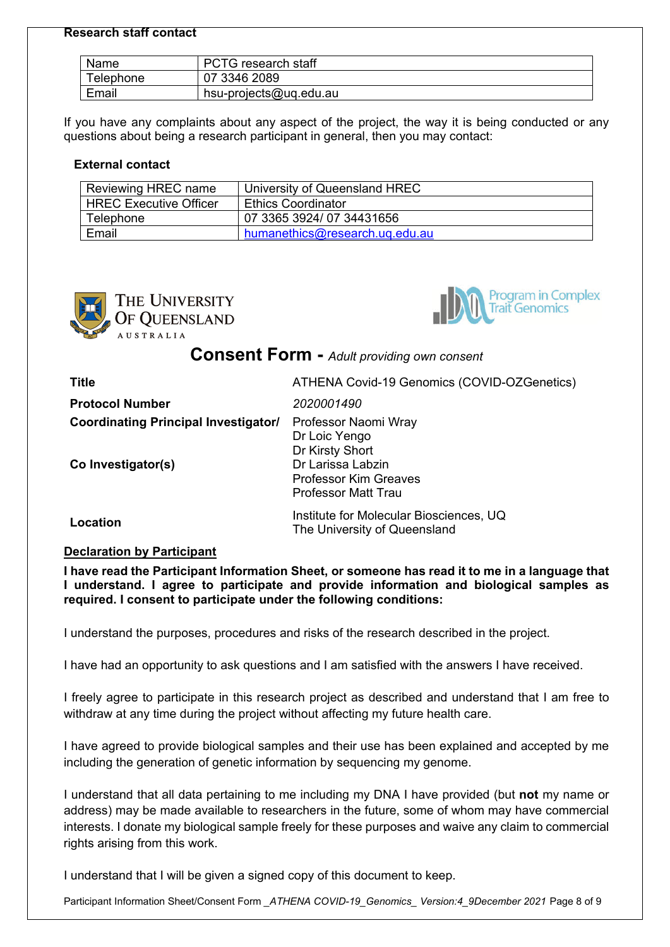#### **Research staff contact**

| Name      | <b>PCTG</b> research staff |
|-----------|----------------------------|
| Telephone | 07 3346 2089               |
| Email     | hsu-projects@uq.edu.au     |

If you have any complaints about any aspect of the project, the way it is being conducted or any questions about being a research participant in general, then you may contact:

# **External contact**

| Reviewing HREC name           | University of Queensland HREC  |
|-------------------------------|--------------------------------|
| <b>HREC Executive Officer</b> | <b>Ethics Coordinator</b>      |
| Telephone                     | 07 3365 3924/07 34431656       |
| Email                         | humanethics@research.ug.edu.au |





**Consent Form -** *Adult providing own consent*

| <b>Title</b>                                                      | ATHENA Covid-19 Genomics (COVID-OZGenetics)                                                                                                 |
|-------------------------------------------------------------------|---------------------------------------------------------------------------------------------------------------------------------------------|
| <b>Protocol Number</b>                                            | 2020001490                                                                                                                                  |
| <b>Coordinating Principal Investigator/</b><br>Co Investigator(s) | Professor Naomi Wray<br>Dr Loic Yengo<br>Dr Kirsty Short<br>Dr Larissa Labzin<br><b>Professor Kim Greaves</b><br><b>Professor Matt Trau</b> |
| Location                                                          | Institute for Molecular Biosciences, UQ<br>The University of Queensland                                                                     |

# **Declaration by Participant**

**I have read the Participant Information Sheet, or someone has read it to me in a language that I understand. I agree to participate and provide information and biological samples as required. I consent to participate under the following conditions:**

I understand the purposes, procedures and risks of the research described in the project.

I have had an opportunity to ask questions and I am satisfied with the answers I have received.

I freely agree to participate in this research project as described and understand that I am free to withdraw at any time during the project without affecting my future health care.

I have agreed to provide biological samples and their use has been explained and accepted by me including the generation of genetic information by sequencing my genome.

I understand that all data pertaining to me including my DNA I have provided (but **not** my name or address) may be made available to researchers in the future, some of whom may have commercial interests. I donate my biological sample freely for these purposes and waive any claim to commercial rights arising from this work.

I understand that I will be given a signed copy of this document to keep.

Participant Information Sheet/Consent Form *\_ATHENA COVID-19\_Genomics\_ Version:4\_9December 2021* Page 8 of 9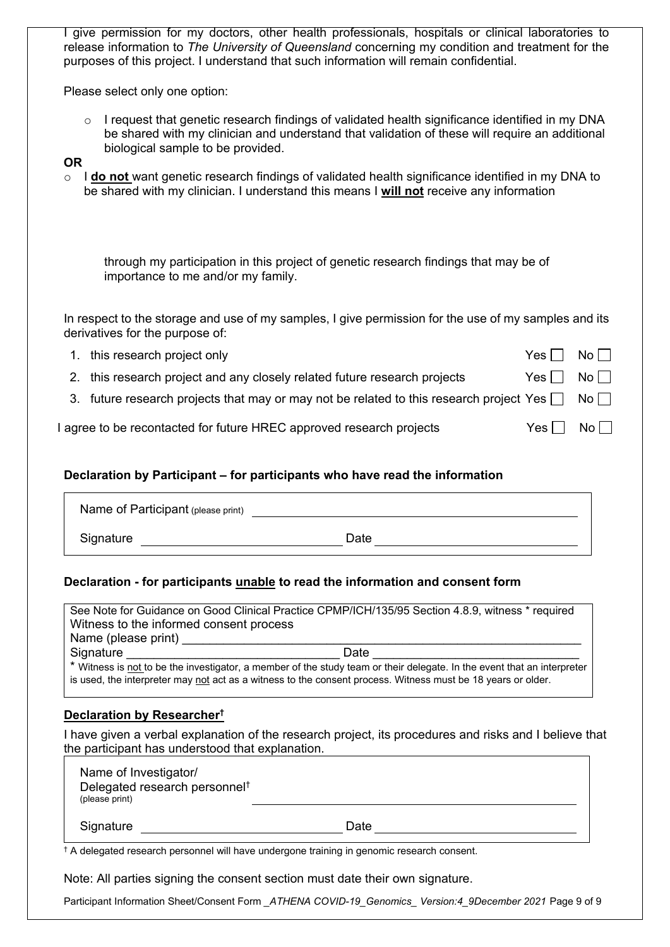I give permission for my doctors, other health professionals, hospitals or clinical laboratories to release information to *The University of Queensland* concerning my condition and treatment for the purposes of this project. I understand that such information will remain confidential.

Please select only one option:

 $\circ$  I request that genetic research findings of validated health significance identified in my DNA be shared with my clinician and understand that validation of these will require an additional biological sample to be provided.

#### **OR**

o I **do not** want genetic research findings of validated health significance identified in my DNA to be shared with my clinician. I understand this means I **will not** receive any information

through my participation in this project of genetic research findings that may be of importance to me and/or my family.

In respect to the storage and use of my samples. I give permission for the use of my samples and its derivatives for the purpose of:

| 1. this research project only                                                                            | $Yes \Box No \Box$ |    |
|----------------------------------------------------------------------------------------------------------|--------------------|----|
| 2. this research project and any closely related future research projects                                | $Yes \Box No \Box$ |    |
| 3. future research projects that may or may not be related to this research project Yes $\Box$ No $\Box$ |                    |    |
| I agree to be recontacted for future HREC approved research projects                                     | Yes II             | No |

# **Declaration by Participant – for participants who have read the information**

| Name of Participant (please print) |      |  |
|------------------------------------|------|--|
| Signature                          | Date |  |

# **Declaration - for participants unable to read the information and consent form**

See Note for Guidance on Good Clinical Practice CPMP/ICH/135/95 Section 4.8.9, witness \* required Witness to the informed consent process Name (please print) Signature \_\_\_\_\_\_\_\_\_\_\_\_\_\_\_\_\_\_\_\_\_\_\_\_\_\_\_\_\_\_\_ Date \_\_\_\_\_\_\_\_\_\_\_\_\_\_\_\_\_\_\_\_\_\_\_\_\_\_\_\_\_\_ \* Witness is not to be the investigator, a member of the study team or their delegate. In the event that an interpreter is used, the interpreter may not act as a witness to the consent process. Witness must be 18 years or older.

# **Declaration by Researcher†**

I have given a verbal explanation of the research project, its procedures and risks and I believe that the participant has understood that explanation.

| Name of Investigator/<br>Delegated research personnel <sup>t</sup><br>(please print) |      |
|--------------------------------------------------------------------------------------|------|
| Signature                                                                            | Date |

† A delegated research personnel will have undergone training in genomic research consent.

Note: All parties signing the consent section must date their own signature.

Participant Information Sheet/Consent Form *\_ATHENA COVID-19\_Genomics\_ Version:4\_9December 2021* Page 9 of 9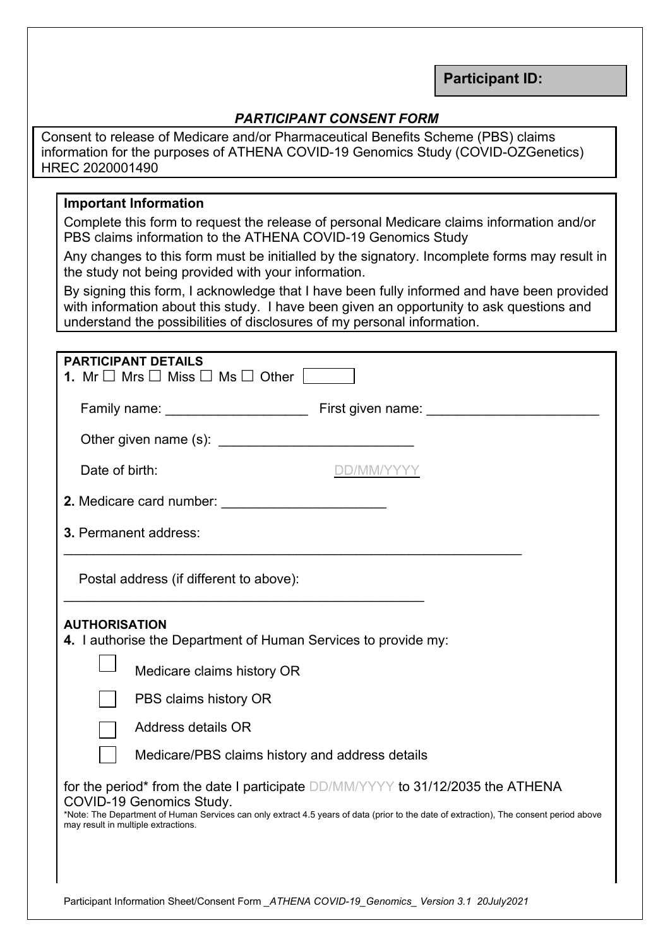**Participant ID:** 

# *PARTICIPANT CONSENT FORM*

Consent to release of Medicare and/or Pharmaceutical Benefits Scheme (PBS) claims information for the purposes of ATHENA COVID-19 Genomics Study (COVID-OZGenetics) HREC 2020001490

# **Important Information**

Complete this form to request the release of personal Medicare claims information and/or PBS claims information to the ATHENA COVID-19 Genomics Study

Any changes to this form must be initialled by the signatory. Incomplete forms may result in the study not being provided with your information.

By signing this form, I acknowledge that I have been fully informed and have been provided with information about this study. I have been given an opportunity to ask questions and understand the possibilities of disclosures of my personal information.

| <b>PARTICIPANT DETAILS</b><br>1. Mr $\Box$ Mrs $\Box$ Miss $\Box$ Ms $\Box$ Other                                                                                                                                                                                                                                                                                                                                                                                                                                      |
|------------------------------------------------------------------------------------------------------------------------------------------------------------------------------------------------------------------------------------------------------------------------------------------------------------------------------------------------------------------------------------------------------------------------------------------------------------------------------------------------------------------------|
|                                                                                                                                                                                                                                                                                                                                                                                                                                                                                                                        |
|                                                                                                                                                                                                                                                                                                                                                                                                                                                                                                                        |
|                                                                                                                                                                                                                                                                                                                                                                                                                                                                                                                        |
| Date of birth:                                                                                                                                                                                                                                                                                                                                                                                                                                                                                                         |
|                                                                                                                                                                                                                                                                                                                                                                                                                                                                                                                        |
| <b>3. Permanent address:</b>                                                                                                                                                                                                                                                                                                                                                                                                                                                                                           |
| Postal address (if different to above):                                                                                                                                                                                                                                                                                                                                                                                                                                                                                |
| <b>AUTHORISATION</b><br>4. I authorise the Department of Human Services to provide my:<br>Medicare claims history OR<br>PBS claims history OR<br>Address details OR<br>Medicare/PBS claims history and address details<br>for the period* from the date I participate DD/MM/YYYY to 31/12/2035 the ATHENA<br>COVID-19 Genomics Study.<br>*Note: The Department of Human Services can only extract 4.5 years of data (prior to the date of extraction), The consent period above<br>may result in multiple extractions. |
|                                                                                                                                                                                                                                                                                                                                                                                                                                                                                                                        |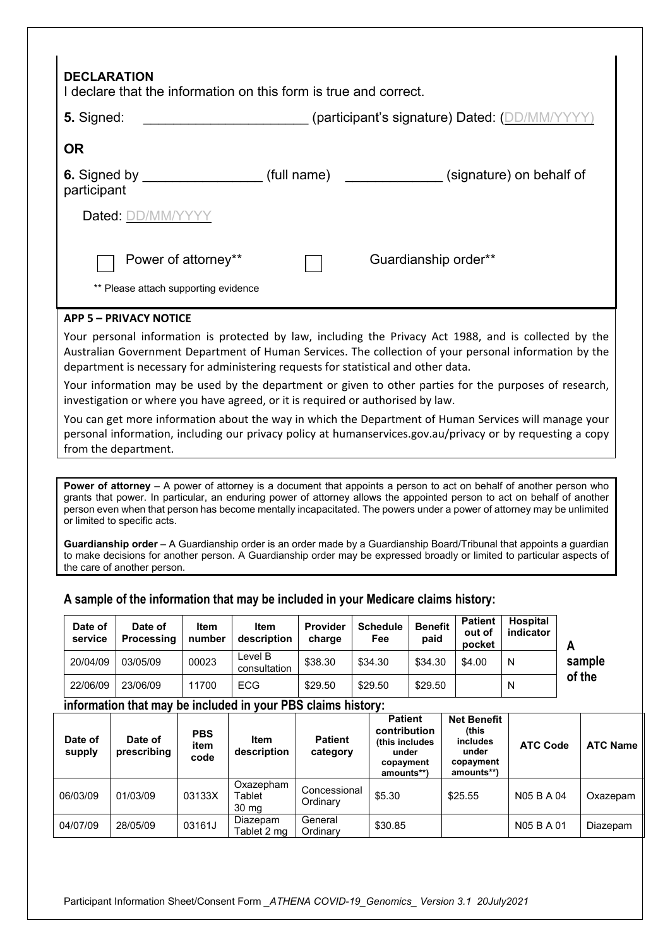| <b>DECLARATION</b><br>I declare that the information on this form is true and correct.                                                                                                                                                                                                                                                                                           |
|----------------------------------------------------------------------------------------------------------------------------------------------------------------------------------------------------------------------------------------------------------------------------------------------------------------------------------------------------------------------------------|
| 5. Signed:<br>(participant's signature) Dated: (DD/MM/Y)                                                                                                                                                                                                                                                                                                                         |
| <b>OR</b>                                                                                                                                                                                                                                                                                                                                                                        |
| 6. Signed by _____________________(full name)<br>(signature) on behalf of<br>participant                                                                                                                                                                                                                                                                                         |
| Dated: DD/MM/YYYY                                                                                                                                                                                                                                                                                                                                                                |
| Power of attorney**<br>Guardianship order**<br>** Please attach supporting evidence                                                                                                                                                                                                                                                                                              |
| <b>APP 5 - PRIVACY NOTICE</b>                                                                                                                                                                                                                                                                                                                                                    |
| Your personal information is protected by law, including the Privacy Act 1988, and is collected by the<br>Australian Government Department of Human Services. The collection of your personal information by the<br>department is necessary for administering requests for statistical and other data.                                                                           |
| Your information may be used by the department or given to other parties for the purposes of research,<br>investigation or where you have agreed, or it is required or authorised by law.                                                                                                                                                                                        |
| You can get more information about the way in which the Department of Human Services will manage your<br>personal information, including our privacy policy at humanservices.gov.au/privacy or by requesting a copy<br>from the department.                                                                                                                                      |
|                                                                                                                                                                                                                                                                                                                                                                                  |
| <b>Power of attorney</b> $-$ A power of attorney is a document that appoints a person to act on behalf of another person who<br>grants that power. In particular, an enduring power of attorney allows the appointed person to act on behalf of another<br>person even when that person has become mentally incapacitated. The powers under a power of attorney may be unlimited |

person even when that person has become mentally incapacitated. The powers under a power of attorney may be unlimited or limited to specific acts.

**Guardianship order** – A Guardianship order is an order made by a Guardianship Board/Tribunal that appoints a guardian to make decisions for another person. A Guardianship order may be expressed broadly or limited to particular aspects of the care of another person.

| Date of<br>service | Date of<br><b>Processing</b> | Item<br>number | <b>Item</b><br>description | <b>Provider</b><br>charge | <b>Schedule</b><br>Fee | <b>Benefit</b><br>paid | <b>Patient</b><br>out of<br>pocket | <b>Hospital</b><br>indicator |             |
|--------------------|------------------------------|----------------|----------------------------|---------------------------|------------------------|------------------------|------------------------------------|------------------------------|-------------|
| 20/04/09           | 03/05/09                     | 00023          | Level B<br>consultation    | \$38.30                   | \$34.30                | \$34.30                | \$4.00                             | N                            | sample<br>. |

# **A sample of the information that may be included in your Medicare claims history:**

22/06/09 | 23/06/09 | 11700 | ECG | \$29.50 | \$29.50 | \$29.50 | N

# **information that may be included in your PBS claims history:**

| Date of<br>supply | Date of<br>prescribing | <b>PBS</b><br>item<br>code | <b>Item</b><br>description   | <b>Patient</b><br>category | <b>Patient</b><br>contribution<br>(this includes<br>under<br>copayment<br>amounts**) | <b>Net Benefit</b><br>(this<br><i>includes</i><br>under<br>copayment<br>amounts**) | <b>ATC Code</b> | <b>ATC Name</b> |
|-------------------|------------------------|----------------------------|------------------------------|----------------------------|--------------------------------------------------------------------------------------|------------------------------------------------------------------------------------|-----------------|-----------------|
| 06/03/09          | 01/03/09               | 03133X                     | Oxazepham<br>Tablet<br>30 mg | Concessional<br>Ordinary   | \$5.30                                                                               | \$25.55                                                                            | N05 B A 04      | Oxazepam        |
| 04/07/09          | 28/05/09               | 03161J                     | Diazepam<br>Tablet 2 mg      | General<br>Ordinary        | \$30.85                                                                              |                                                                                    | N05 B A 01      | Diazepam        |

**of the**